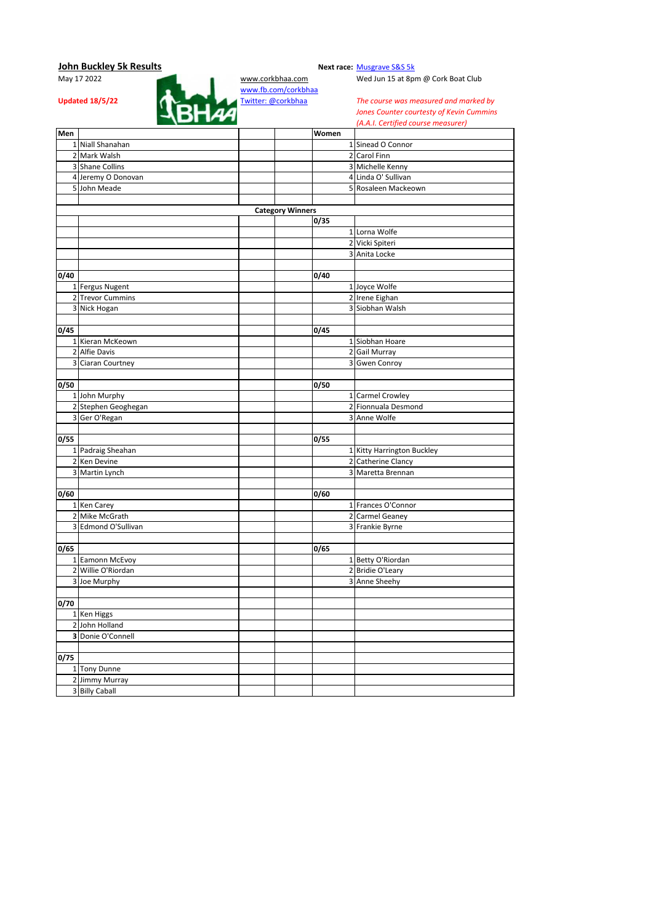# **John Buckley 5k Results**<br>May 17 2022 **May 17 2022 Next race:** [Musgrave S&S 5k](http://corkbhaa.com/races/musgrave/)



[www.fb.com/corkbhaa](http://www.fb.com/corkbhaa)

Wed Jun 15 at 8pm @ Cork Boat Club

*The course was measured and marked by Jones Counter courtesty of Kevin Cummins (A.A.I. Certified course measurer)*

| Men  |                     |                         | Women |                                         |
|------|---------------------|-------------------------|-------|-----------------------------------------|
|      | 1 Niall Shanahan    |                         |       | 1 Sinead O Connor                       |
|      | 2 Mark Walsh        |                         |       | 2 Carol Finn                            |
|      | 3 Shane Collins     |                         |       | 3 Michelle Kenny                        |
|      | 4 Jeremy O Donovan  |                         |       | 4 Linda O' Sullivan                     |
|      | 5 John Meade        |                         |       | 5 Rosaleen Mackeown                     |
|      |                     |                         |       |                                         |
|      |                     | <b>Category Winners</b> |       |                                         |
|      |                     |                         | 0/35  |                                         |
|      |                     |                         |       | 1 Lorna Wolfe                           |
|      |                     |                         |       | 2 Vicki Spiteri                         |
|      |                     |                         |       | 3 Anita Locke                           |
|      |                     |                         |       |                                         |
| 0/40 |                     |                         | 0/40  |                                         |
|      | 1 Fergus Nugent     |                         |       | 1 Joyce Wolfe                           |
|      | 2 Trevor Cummins    |                         |       | 2 Irene Eighan                          |
|      | 3 Nick Hogan        |                         |       | 3 Siobhan Walsh                         |
|      |                     |                         |       |                                         |
| 0/45 |                     |                         | 0/45  |                                         |
|      | 1 Kieran McKeown    |                         |       | 1 Siobhan Hoare                         |
|      | 2 Alfie Davis       |                         |       | 2 Gail Murray                           |
|      | 3 Ciaran Courtney   |                         |       | 3 Gwen Conroy                           |
|      |                     |                         |       |                                         |
| 0/50 |                     |                         | 0/50  |                                         |
|      | 1 John Murphy       |                         |       | 1 Carmel Crowley                        |
|      | 2 Stephen Geoghegan |                         |       | 2 Fionnuala Desmond                     |
|      | 3 Ger O'Regan       |                         |       | 3 Anne Wolfe                            |
|      |                     |                         |       |                                         |
| 0/55 |                     |                         | 0/55  |                                         |
|      | 1 Padraig Sheahan   |                         |       | 1 Kitty Harrington Buckley              |
|      | 2 Ken Devine        |                         |       | 2 Catherine Clancy<br>3 Maretta Brennan |
|      | 3 Martin Lynch      |                         |       |                                         |
| 0/60 |                     |                         | 0/60  |                                         |
|      | 1 Ken Carey         |                         |       | 1 Frances O'Connor                      |
|      | 2 Mike McGrath      |                         |       | 2 Carmel Geaney                         |
|      | 3 Edmond O'Sullivan |                         |       | 3 Frankie Byrne                         |
|      |                     |                         |       |                                         |
| 0/65 |                     |                         | 0/65  |                                         |
|      | 1 Eamonn McEvoy     |                         |       | 1 Betty O'Riordan                       |
|      | 2 Willie O'Riordan  |                         |       | 2 Bridie O'Leary                        |
|      | 3 Joe Murphy        |                         |       | 3 Anne Sheehy                           |
|      |                     |                         |       |                                         |
| 0/70 |                     |                         |       |                                         |
|      | 1 Ken Higgs         |                         |       |                                         |
|      | 2 John Holland      |                         |       |                                         |
|      | 3 Donie O'Connell   |                         |       |                                         |
|      |                     |                         |       |                                         |
| 0/75 |                     |                         |       |                                         |
|      | 1 Tony Dunne        |                         |       |                                         |
|      | 2 Jimmy Murray      |                         |       |                                         |
|      | 3 Billy Caball      |                         |       |                                         |
|      |                     |                         |       |                                         |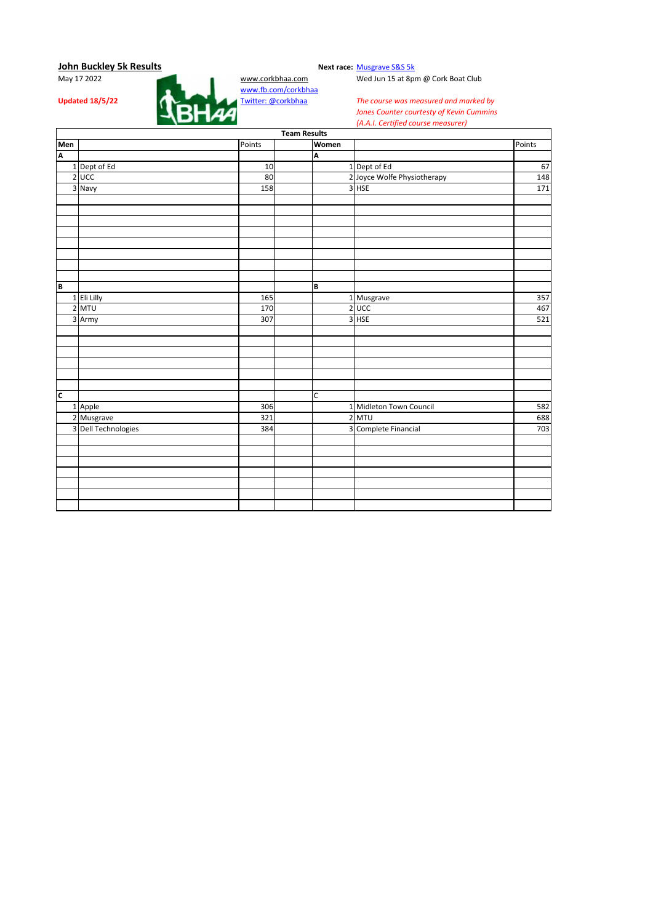

Wed Jun 15 at 8pm @ Cork Boat Club

|                         |                     |        | <b>Team Results</b> |             |                             |        |
|-------------------------|---------------------|--------|---------------------|-------------|-----------------------------|--------|
| Men                     |                     | Points |                     | Women       |                             | Points |
| A                       |                     |        |                     | A           |                             |        |
|                         | 1 Dept of Ed        | 10     |                     |             | 1 Dept of Ed                | 67     |
|                         | $2$ UCC             | 80     |                     |             | 2 Joyce Wolfe Physiotherapy | 148    |
|                         | 3 Navy              | 158    |                     |             | 3 HSE                       | 171    |
|                         |                     |        |                     |             |                             |        |
|                         |                     |        |                     |             |                             |        |
|                         |                     |        |                     |             |                             |        |
|                         |                     |        |                     |             |                             |        |
|                         |                     |        |                     |             |                             |        |
|                         |                     |        |                     |             |                             |        |
|                         |                     |        |                     |             |                             |        |
|                         |                     |        |                     |             |                             |        |
| B                       |                     |        |                     | B           |                             |        |
|                         | 1 Eli Lilly         | 165    |                     |             | 1 Musgrave                  | 357    |
|                         | 2 MTU               | 170    |                     |             | $2$ UCC                     | 467    |
|                         | 3 Army              | 307    |                     |             | $3$ HSE                     | 521    |
|                         |                     |        |                     |             |                             |        |
|                         |                     |        |                     |             |                             |        |
|                         |                     |        |                     |             |                             |        |
|                         |                     |        |                     |             |                             |        |
|                         |                     |        |                     |             |                             |        |
|                         |                     |        |                     |             |                             |        |
| $\overline{\mathsf{c}}$ |                     |        |                     | $\mathsf C$ |                             |        |
|                         | 1 Apple             | 306    |                     |             | 1 Midleton Town Council     | 582    |
|                         | 2 Musgrave          | 321    |                     |             | 2 MTU                       | 688    |
|                         | 3 Dell Technologies | 384    |                     |             | 3 Complete Financial        | 703    |
|                         |                     |        |                     |             |                             |        |
|                         |                     |        |                     |             |                             |        |
|                         |                     |        |                     |             |                             |        |
|                         |                     |        |                     |             |                             |        |
|                         |                     |        |                     |             |                             |        |
|                         |                     |        |                     |             |                             |        |
|                         |                     |        |                     |             |                             |        |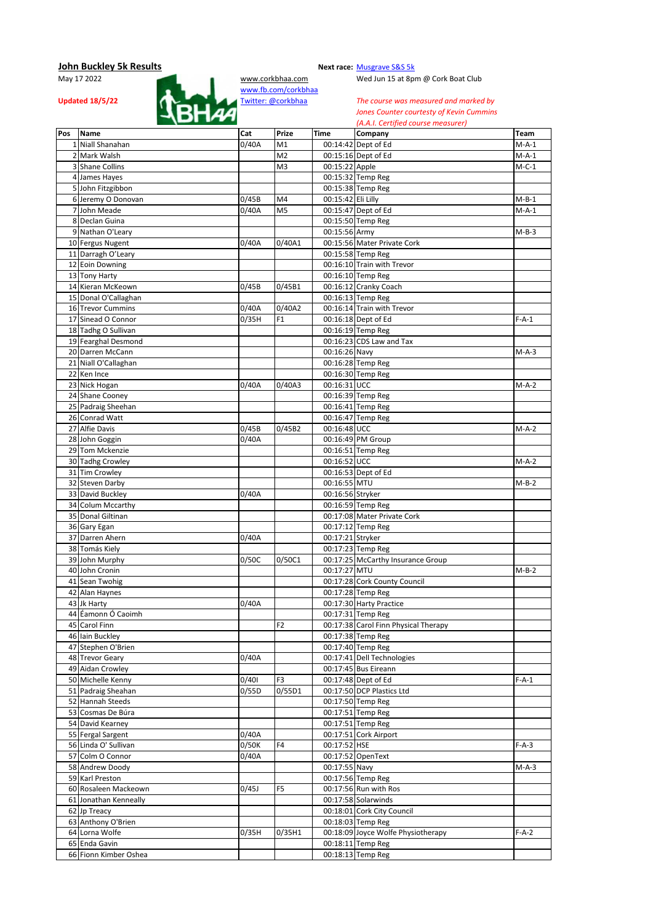

Wed Jun 15 at 8pm @ Cork Boat Club

|     |                       |       |                |                    | (A.A.I. Certified course incusurer)  |             |
|-----|-----------------------|-------|----------------|--------------------|--------------------------------------|-------------|
| Pos | <b>Name</b>           | Cat   | Prize          | Time               | Company                              | <b>Team</b> |
|     | 1 Niall Shanahan      | 0/40A | M1             |                    | 00:14:42 Dept of Ed                  | $M-A-1$     |
|     | 2 Mark Walsh          |       | M <sub>2</sub> |                    | 00:15:16 Dept of Ed                  | $M-A-1$     |
|     | 3 Shane Collins       |       | M3             | 00:15:22 Apple     |                                      | $M-C-1$     |
|     | 4 James Hayes         |       |                |                    | 00:15:32 Temp Reg                    |             |
|     | 5 John Fitzgibbon     |       |                |                    | 00:15:38 Temp Reg                    |             |
|     |                       |       |                |                    |                                      |             |
|     | 6 Jeremy O Donovan    | 0/45B | M4             | 00:15:42 Eli Lilly |                                      | $M-B-1$     |
|     | 7 John Meade          | 0/40A | M <sub>5</sub> |                    | 00:15:47 Dept of Ed                  | $M-A-1$     |
|     | 8 Declan Guina        |       |                |                    | 00:15:50 Temp Reg                    |             |
|     | 9 Nathan O'Leary      |       |                | 00:15:56 Army      |                                      | $M-B-3$     |
|     | 10 Fergus Nugent      | 0/40A | 0/40A1         |                    | 00:15:56 Mater Private Cork          |             |
|     | 11 Darragh O'Leary    |       |                |                    | 00:15:58 Temp Reg                    |             |
|     | 12 Eoin Downing       |       |                |                    | 00:16:10 Train with Trevor           |             |
|     |                       |       |                |                    |                                      |             |
|     | 13 Tony Harty         |       |                |                    | 00:16:10 Temp Reg                    |             |
|     | 14 Kieran McKeown     | 0/45B | 0/45B1         |                    | 00:16:12 Cranky Coach                |             |
|     | 15 Donal O'Callaghan  |       |                |                    | 00:16:13 Temp Reg                    |             |
|     | 16 Trevor Cummins     | 0/40A | 0/40A2         |                    | 00:16:14 Train with Trevor           |             |
|     | 17 Sinead O Connor    | 0/35H | F <sub>1</sub> |                    | 00:16:18 Dept of Ed                  | $F-A-1$     |
|     | 18 Tadhg O Sullivan   |       |                |                    | 00:16:19 Temp Reg                    |             |
|     | 19 Fearghal Desmond   |       |                |                    | 00:16:23 CDS Law and Tax             |             |
|     |                       |       |                |                    |                                      |             |
|     | 20 Darren McCann      |       |                | 00:16:26 Navy      |                                      | M-A-3       |
|     | 21 Niall O'Callaghan  |       |                |                    | 00:16:28 Temp Reg                    |             |
|     | 22 Ken Ince           |       |                |                    | 00:16:30 Temp Reg                    |             |
|     | 23 Nick Hogan         | 0/40A | 0/40A3         | 00:16:31 UCC       |                                      | M-A-2       |
|     | 24 Shane Cooney       |       |                |                    | 00:16:39 Temp Reg                    |             |
|     | 25 Padraig Sheehan    |       |                |                    | 00:16:41 Temp Reg                    |             |
|     | 26 Conrad Watt        |       |                |                    | 00:16:47 Temp Reg                    |             |
|     |                       |       |                |                    |                                      |             |
|     | 27 Alfie Davis        | 0/45B | 0/45B2         | 00:16:48 UCC       |                                      | $M-A-2$     |
|     | 28 John Goggin        | 0/40A |                |                    | 00:16:49 PM Group                    |             |
|     | 29 Tom Mckenzie       |       |                |                    | 00:16:51 Temp Reg                    |             |
|     | 30 Tadhg Crowley      |       |                | 00:16:52 UCC       |                                      | $M-A-2$     |
|     | 31 Tim Crowley        |       |                |                    | 00:16:53 Dept of Ed                  |             |
|     | 32 Steven Darby       |       |                | 00:16:55 MTU       |                                      | $M-B-2$     |
|     | 33 David Buckley      | 0/40A |                | 00:16:56 Stryker   |                                      |             |
|     |                       |       |                |                    |                                      |             |
|     | 34 Colum Mccarthy     |       |                |                    | 00:16:59 Temp Reg                    |             |
|     | 35 Donal Giltinan     |       |                |                    | 00:17:08 Mater Private Cork          |             |
|     | 36 Gary Egan          |       |                |                    | 00:17:12 Temp Reg                    |             |
|     | 37 Darren Ahern       | 0/40A |                | 00:17:21 Stryker   |                                      |             |
|     | 38 Tomás Kiely        |       |                |                    | 00:17:23 Temp Reg                    |             |
|     | 39 John Murphy        | 0/50C | 0/50C1         |                    | 00:17:25 McCarthy Insurance Group    |             |
|     | 40 John Cronin        |       |                | 00:17:27 MTU       |                                      | $M-B-2$     |
|     |                       |       |                |                    |                                      |             |
|     | 41 Sean Twohig        |       |                |                    | 00:17:28 Cork County Council         |             |
|     | 42 Alan Haynes        |       |                |                    | 00:17:28 Temp Reg                    |             |
|     | 43 Jk Harty           | 0/40A |                |                    | 00:17:30 Harty Practice              |             |
|     | 44 Éamonn Ó Caoimh    |       |                |                    | 00:17:31 Temp Reg                    |             |
|     | 45 Carol Finn         |       | F <sub>2</sub> |                    | 00:17:38 Carol Finn Physical Therapy |             |
|     | 46 Iain Buckley       |       |                |                    | 00:17:38 Temp Reg                    |             |
|     | 47 Stephen O'Brien    |       |                |                    | 00:17:40 Temp Reg                    |             |
|     | 48 Trevor Geary       |       |                |                    |                                      |             |
|     |                       | 0/40A |                |                    | 00:17:41 Dell Technologies           |             |
|     | 49 Aidan Crowley      |       |                |                    | 00:17:45 Bus Eireann                 |             |
|     | 50 Michelle Kenny     | 0/401 | F <sub>3</sub> |                    | 00:17:48 Dept of Ed                  | $F-A-1$     |
|     | 51 Padraig Sheahan    | 0/55D | 0/55D1         |                    | 00:17:50 DCP Plastics Ltd            |             |
|     | 52 Hannah Steeds      |       |                |                    | 00:17:50 Temp Reg                    |             |
|     | 53 Cosmas De Búra     |       |                |                    | 00:17:51 Temp Reg                    |             |
|     | 54 David Kearney      |       |                |                    | 00:17:51 Temp Reg                    |             |
|     | 55 Fergal Sargent     |       |                |                    | 00:17:51 Cork Airport                |             |
|     |                       | 0/40A |                |                    |                                      |             |
|     | 56 Linda O' Sullivan  | 0/50K | F4             | 00:17:52 HSE       |                                      | $F-A-3$     |
|     | 57 Colm O Connor      | 0/40A |                |                    | 00:17:52 OpenText                    |             |
|     | 58 Andrew Doody       |       |                | 00:17:55 Navy      |                                      | M-A-3       |
|     | 59 Karl Preston       |       |                |                    | 00:17:56 Temp Reg                    |             |
|     | 60 Rosaleen Mackeown  | 0/45J | F <sub>5</sub> |                    | 00:17:56 Run with Ros                |             |
|     | 61 Jonathan Kenneally |       |                |                    | 00:17:58 Solarwinds                  |             |
|     |                       |       |                |                    |                                      |             |
|     | 62 Jp Treacy          |       |                |                    | 00:18:01 Cork City Council           |             |
|     | 63 Anthony O'Brien    |       |                |                    | 00:18:03 Temp Reg                    |             |
|     | 64 Lorna Wolfe        | 0/35H | 0/35H1         |                    | 00:18:09 Joyce Wolfe Physiotherapy   | $F-A-2$     |
|     | 65 Enda Gavin         |       |                |                    | 00:18:11 Temp Reg                    |             |
|     | 66 Fionn Kimber Oshea |       |                |                    | 00:18:13 Temp Reg                    |             |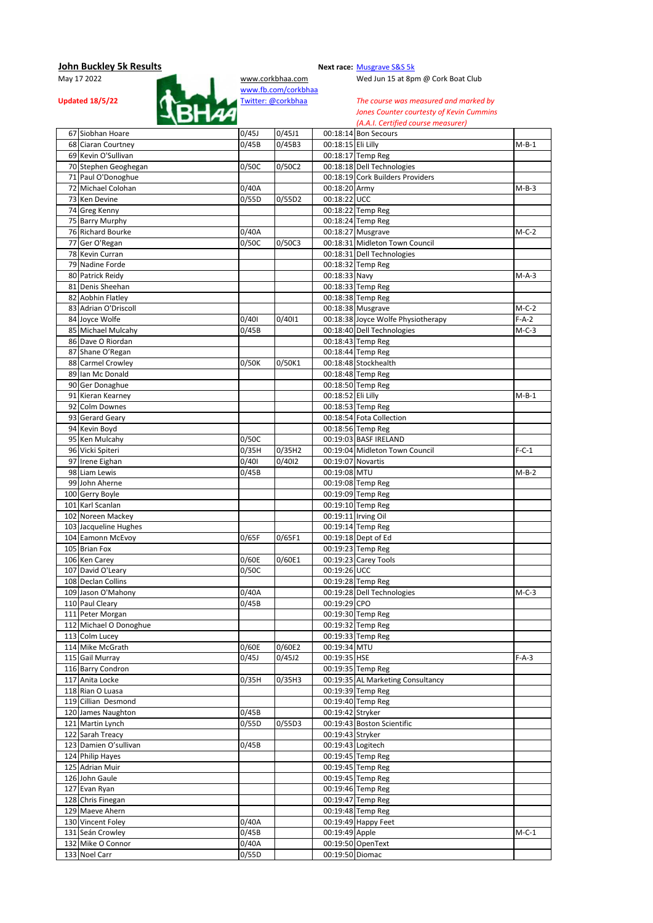

Wed Jun 15 at 8pm @ Cork Boat Club

**Updated 18/5/22 Twitter:** @corkbhaa *The course was measured and marked by Jones Counter courtesty of Kevin Cummins Jones Counter courtesty of Kevin Cummins (A.A.I. Certified course measurer)*

| 67 Siobhan Hoare       | 0/45J | 0/45J1 |                            | 00:18:14 Bon Secours               |         |
|------------------------|-------|--------|----------------------------|------------------------------------|---------|
| 68 Ciaran Courtney     | 0/45B | 0/45B3 | 00:18:15 Eli Lilly         |                                    | $M-B-1$ |
| 69 Kevin O'Sullivan    |       |        |                            | 00:18:17 Temp Reg                  |         |
| 70 Stephen Geoghegan   | 0/50C | 0/50C2 |                            | 00:18:18 Dell Technologies         |         |
|                        |       |        |                            | 00:18:19 Cork Builders Providers   |         |
| 71 Paul O'Donoghue     |       |        | 00:18:20 Army              |                                    |         |
| 72 Michael Colohan     | 0/40A |        |                            |                                    | $M-B-3$ |
| 73 Ken Devine          | 0/55D | 0/55D2 | 00:18:22 UCC               |                                    |         |
| 74 Greg Kenny          |       |        |                            | 00:18:22 Temp Reg                  |         |
| 75 Barry Murphy        |       |        |                            | 00:18:24 Temp Reg                  |         |
| 76 Richard Bourke      | 0/40A |        |                            | 00:18:27 Musgrave                  | $M-C-2$ |
| 77 Ger O'Regan         | 0/50C | 0/50C3 |                            | 00:18:31 Midleton Town Council     |         |
| 78 Kevin Curran        |       |        |                            | 00:18:31 Dell Technologies         |         |
| 79 Nadine Forde        |       |        |                            | 00:18:32 Temp Reg                  |         |
| 80 Patrick Reidy       |       |        | $\overline{00:}18:33$ Navy |                                    | $M-A-3$ |
| 81 Denis Sheehan       |       |        |                            | 00:18:33 Temp Reg                  |         |
| 82 Aobhin Flatley      |       |        |                            | 00:18:38 Temp Reg                  |         |
| 83 Adrian O'Driscoll   |       |        |                            | 00:18:38 Musgrave                  | $M-C-2$ |
| 84 Joyce Wolfe         | 0/401 | 0/4011 |                            | 00:18:38 Joyce Wolfe Physiotherapy | $F-A-2$ |
| 85 Michael Mulcahy     | 0/45B |        |                            | 00:18:40 Dell Technologies         | $M-C-3$ |
| 86 Dave O Riordan      |       |        |                            | 00:18:43 Temp Reg                  |         |
|                        |       |        |                            |                                    |         |
| 87 Shane O'Regan       |       |        |                            | 00:18:44 Temp Reg                  |         |
| 88 Carmel Crowley      | 0/50K | 0/50K1 |                            | 00:18:48 Stockhealth               |         |
| 89 Ian Mc Donald       |       |        |                            | 00:18:48 Temp Reg                  |         |
| 90 Ger Donaghue        |       |        |                            | 00:18:50 Temp Reg                  |         |
| 91 Kieran Kearney      |       |        | 00:18:52 Eli Lilly         |                                    | $M-B-1$ |
| 92 Colm Downes         |       |        |                            | 00:18:53 Temp Reg                  |         |
| 93 Gerard Geary        |       |        |                            | 00:18:54 Fota Collection           |         |
| 94 Kevin Boyd          |       |        |                            | 00:18:56 Temp Reg                  |         |
| 95 Ken Mulcahy         | 0/50C |        |                            | 00:19:03 BASF IRELAND              |         |
| 96 Vicki Spiteri       | 0/35H | 0/35H2 |                            | 00:19:04 Midleton Town Council     | $F-C-1$ |
| 97 Irene Eighan        | 0/401 | 0/4012 | 00:19:07 Novartis          |                                    |         |
|                        |       |        |                            |                                    |         |
| 98 Liam Lewis          | 0/45B |        | 00:19:08 MTU               |                                    | $M-B-2$ |
| 99 John Aherne         |       |        |                            | 00:19:08 Temp Reg                  |         |
| 100 Gerry Boyle        |       |        |                            | 00:19:09 Temp Reg                  |         |
| 101 Karl Scanlan       |       |        |                            | 00:19:10 Temp Reg                  |         |
| 102 Noreen Mackey      |       |        | 00:19:11 Irving Oil        |                                    |         |
| 103 Jacqueline Hughes  |       |        |                            | 00:19:14 Temp Reg                  |         |
| 104 Eamonn McEvoy      | 0/65F | 0/65F1 |                            | 00:19:18 Dept of Ed                |         |
| 105 Brian Fox          |       |        |                            | 00:19:23 Temp Reg                  |         |
| 106 Ken Carey          | 0/60E | 0/60E1 |                            | 00:19:23 Carey Tools               |         |
| 107 David O'Leary      | 0/50C |        | 00:19:26 UCC               |                                    |         |
| 108 Declan Collins     |       |        |                            | 00:19:28 Temp Reg                  |         |
| 109 Jason O'Mahony     | 0/40A |        |                            | 00:19:28 Dell Technologies         | $M-C-3$ |
| 110 Paul Cleary        | 0/45B |        | 00:19:29 CPO               |                                    |         |
| 111 Peter Morgan       |       |        |                            | 00:19:30 Temp Reg                  |         |
|                        |       |        |                            |                                    |         |
| 112 Michael O Donoghue |       |        |                            | 00:19:32 Temp Reg                  |         |
| 113 Colm Lucey         |       |        |                            | 00:19:33 Temp Reg                  |         |
| 114 Mike McGrath       | 0/60E | 0/60E2 | 00:19:34 MTU               |                                    |         |
| 115 Gail Murray        | 0/45J | 0/45J2 | 00:19:35 HSE               |                                    | $F-A-3$ |
| 116 Barry Condron      |       |        |                            | 00:19:35 Temp Reg                  |         |
| 117 Anita Locke        | 0/35H | 0/35H3 |                            | 00:19:35 AL Marketing Consultancy  |         |
| 118 Rian O Luasa       |       |        |                            | 00:19:39 Temp Reg                  |         |
| 119 Cillian Desmond    |       |        |                            | 00:19:40 Temp Reg                  |         |
| 120 James Naughton     | 0/45B |        | 00:19:42 Stryker           |                                    |         |
| 121 Martin Lynch       | 0/55D | 0/55D3 |                            | 00:19:43 Boston Scientific         |         |
| 122 Sarah Treacy       |       |        | 00:19:43 Stryker           |                                    |         |
| 123 Damien O'sullivan  | 0/45B |        | 00:19:43 Logitech          |                                    |         |
| 124 Philip Hayes       |       |        |                            | 00:19:45 Temp Reg                  |         |
|                        |       |        |                            |                                    |         |
| 125 Adrian Muir        |       |        |                            | 00:19:45 Temp Reg                  |         |
| 126 John Gaule         |       |        |                            | 00:19:45 Temp Reg                  |         |
| 127 Evan Ryan          |       |        |                            | 00:19:46 Temp Reg                  |         |
| 128 Chris Finegan      |       |        |                            | 00:19:47 Temp Reg                  |         |
| 129 Maeve Ahern        |       |        |                            | 00:19:48 Temp Reg                  |         |
| 130 Vincent Foley      | 0/40A |        |                            | 00:19:49 Happy Feet                |         |
| 131 Seán Crowley       | 0/45B |        | 00:19:49 Apple             |                                    | $M-C-1$ |
| 132 Mike O Connor      | 0/40A |        |                            | 00:19:50 OpenText                  |         |
| 133 Noel Carr          | 0/55D |        | 00:19:50 Diomac            |                                    |         |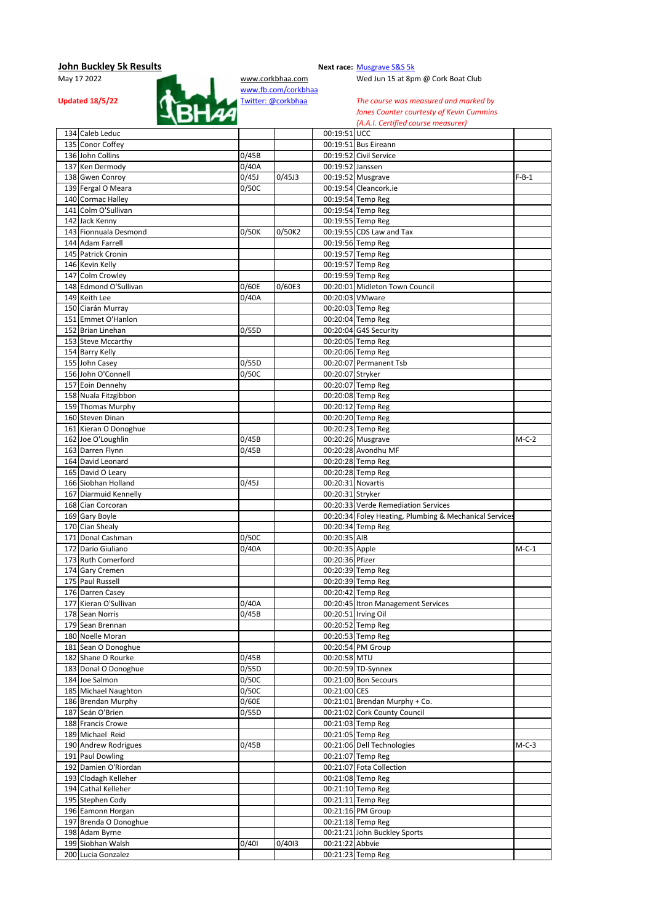

Wed Jun 15 at 8pm @ Cork Boat Club

| 134 Caleb Leduc                         |       |        | 00:19:51 UCC        |                                                        |         |
|-----------------------------------------|-------|--------|---------------------|--------------------------------------------------------|---------|
| 135 Conor Coffey                        |       |        |                     | 00:19:51 Bus Eireann                                   |         |
| 136 John Collins                        | 0/45B |        |                     | 00:19:52 Civil Service                                 |         |
| 137 Ken Dermody                         | 0/40A |        | 00:19:52 Janssen    |                                                        |         |
| 138 Gwen Conroy                         | 0/45J | 0/45J3 |                     | 00:19:52 Musgrave                                      | $F-B-1$ |
| 139 Fergal O Meara                      | 0/50C |        |                     | 00:19:54 Cleancork.ie                                  |         |
| 140 Cormac Halley                       |       |        |                     | 00:19:54 Temp Reg                                      |         |
| 141 Colm O'Sullivan                     |       |        |                     | 00:19:54 Temp Reg                                      |         |
| 142 Jack Kenny                          |       |        |                     | 00:19:55 Temp Reg                                      |         |
| 143 Fionnuala Desmond                   | 0/50K | 0/50K2 |                     | 00:19:55 CDS Law and Tax                               |         |
| 144 Adam Farrell                        |       |        |                     | 00:19:56 Temp Reg                                      |         |
| 145 Patrick Cronin                      |       |        |                     | 00:19:57 Temp Reg                                      |         |
| 146 Kevin Kelly                         |       |        |                     | 00:19:57 Temp Reg                                      |         |
| 147 Colm Crowley                        |       |        |                     | 00:19:59 Temp Reg                                      |         |
| 148 Edmond O'Sullivan                   | 0/60E | 0/60E3 |                     | 00:20:01 Midleton Town Council                         |         |
| 149 Keith Lee                           | 0/40A |        | 00:20:03 VMware     |                                                        |         |
|                                         |       |        |                     | 00:20:03 Temp Reg                                      |         |
| 150 Ciarán Murray<br>151 Emmet O'Hanlon |       |        |                     |                                                        |         |
|                                         |       |        |                     | 00:20:04 Temp Reg                                      |         |
| 152 Brian Linehan                       | 0/55D |        |                     | 00:20:04 G4S Security                                  |         |
| 153 Steve Mccarthy                      |       |        |                     | 00:20:05 Temp Reg                                      |         |
| 154 Barry Kelly                         |       |        |                     | 00:20:06 Temp Reg                                      |         |
| 155 John Casey                          | 0/55D |        |                     | 00:20:07 Permanent Tsb                                 |         |
| 156 John O'Connell                      | 0/50C |        | 00:20:07 Stryker    |                                                        |         |
| 157 Eoin Dennehy                        |       |        |                     | 00:20:07 Temp Reg                                      |         |
| 158 Nuala Fitzgibbon                    |       |        |                     | 00:20:08 Temp Reg                                      |         |
| 159 Thomas Murphy                       |       |        |                     | 00:20:12 Temp Reg                                      |         |
| 160 Steven Dinan                        |       |        |                     | 00:20:20 Temp Reg                                      |         |
| 161 Kieran O Donoghue                   |       |        |                     | 00:20:23 Temp Reg                                      |         |
| 162 Joe O'Loughlin                      | 0/45B |        |                     | 00:20:26 Musgrave                                      | $M-C-2$ |
| 163 Darren Flynn                        | 0/45B |        |                     | 00:20:28 Avondhu MF                                    |         |
| 164 David Leonard                       |       |        |                     | 00:20:28 Temp Reg                                      |         |
| 165 David O Leary                       |       |        |                     | 00:20:28 Temp Reg                                      |         |
| 166 Siobhan Holland                     | 0/45J |        | 00:20:31 Novartis   |                                                        |         |
| 167 Diarmuid Kennelly                   |       |        | 00:20:31 Stryker    |                                                        |         |
| 168 Cian Corcoran                       |       |        |                     | 00:20:33 Verde Remediation Services                    |         |
|                                         |       |        |                     |                                                        |         |
| 169 Gary Boyle                          |       |        |                     | 00:20:34 Foley Heating, Plumbing & Mechanical Services |         |
| 170 Cian Shealy                         |       |        |                     | 00:20:34 Temp Reg                                      |         |
| 171 Donal Cashman                       | 0/50C |        | 00:20:35 AIB        |                                                        |         |
| 172 Dario Giuliano                      | 0/40A |        | 00:20:35 Apple      |                                                        | $M-C-1$ |
| 173 Ruth Comerford                      |       |        | 00:20:36 Pfizer     |                                                        |         |
| 174 Gary Cremen                         |       |        |                     | 00:20:39 Temp Reg                                      |         |
| 175 Paul Russell                        |       |        |                     | 00:20:39 Temp Reg                                      |         |
| 176 Darren Casey                        |       |        |                     | 00:20:42 Temp Reg                                      |         |
| 177 Kieran O'Sullivan                   | 0/40A |        |                     | 00:20:45 Itron Management Services                     |         |
| 178 Sean Norris                         | 0/45B |        | 00:20:51 Irving Oil |                                                        |         |
| 179 Sean Brennan                        |       |        |                     | 00:20:52 Temp Reg                                      |         |
| 180 Noelle Moran                        |       |        |                     | 00:20:53 Temp Reg                                      |         |
| 181 Sean O Donoghue                     |       |        |                     | 00:20:54 PM Group                                      |         |
| 182 Shane O Rourke                      | 0/45B |        | 00:20:58 MTU        |                                                        |         |
| 183 Donal O Donoghue                    | 0/55D |        |                     | 00:20:59 TD-Synnex                                     |         |
| 184 Joe Salmon                          | 0/50C |        |                     | 00:21:00 Bon Secours                                   |         |
| 185 Michael Naughton                    | 0/50C |        | 00:21:00 CES        |                                                        |         |
| 186 Brendan Murphy                      | 0/60E |        |                     | 00:21:01 Brendan Murphy + Co.                          |         |
| 187 Seán O'Brien                        | 0/55D |        |                     | 00:21:02 Cork County Council                           |         |
| 188 Francis Crowe                       |       |        |                     | 00:21:03 Temp Reg                                      |         |
| 189 Michael Reid                        |       |        |                     | 00:21:05 Temp Reg                                      |         |
| 190 Andrew Rodrigues                    | 0/45B |        |                     | 00:21:06 Dell Technologies                             | $M-C-3$ |
| 191 Paul Dowling                        |       |        |                     | 00:21:07 Temp Reg                                      |         |
| 192 Damien O'Riordan                    |       |        |                     | 00:21:07 Fota Collection                               |         |
| 193 Clodagh Kelleher                    |       |        |                     | 00:21:08 Temp Reg                                      |         |
| 194 Cathal Kelleher                     |       |        |                     | 00:21:10 Temp Reg                                      |         |
| 195 Stephen Cody                        |       |        |                     | 00:21:11 Temp Reg                                      |         |
| 196 Eamonn Horgan                       |       |        |                     | 00:21:16 PM Group                                      |         |
| 197 Brenda O Donoghue                   |       |        |                     | 00:21:18 Temp Reg                                      |         |
| 198 Adam Byrne                          |       |        |                     | 00:21:21 John Buckley Sports                           |         |
| 199 Siobhan Walsh<br>200 Lucia Gonzalez | 0/401 | 0/4013 | 00:21:22 Abbvie     | 00:21:23 Temp Reg                                      |         |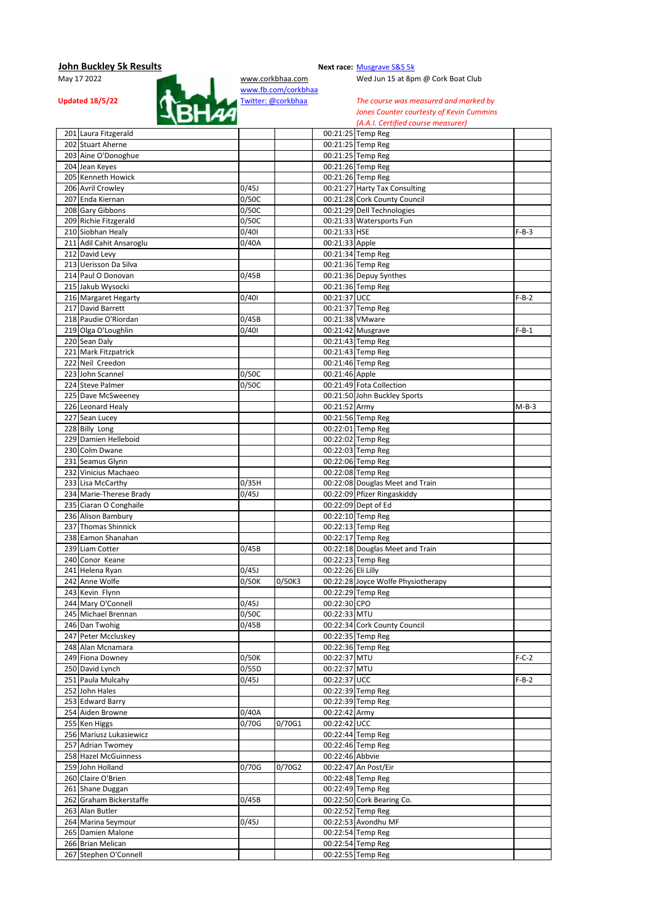

Wed Jun 15 at 8pm @ Cork Boat Club

| 201 Laura Fitzgerald     |       |        |                    | 00:21:25 Temp Reg                  |         |
|--------------------------|-------|--------|--------------------|------------------------------------|---------|
| 202 Stuart Aherne        |       |        |                    | 00:21:25 Temp Reg                  |         |
| 203 Aine O'Donoghue      |       |        |                    | 00:21:25 Temp Reg                  |         |
| 204 Jean Keyes           |       |        |                    | 00:21:26 Temp Reg                  |         |
| 205 Kenneth Howick       |       |        |                    | 00:21:26 Temp Reg                  |         |
| 206 Avril Crowley        | 0/45J |        |                    | 00:21:27 Harty Tax Consulting      |         |
| 207 Enda Kiernan         | 0/50C |        |                    | 00:21:28 Cork County Council       |         |
| 208 Gary Gibbons         | 0/50C |        |                    | 00:21:29 Dell Technologies         |         |
| 209 Richie Fitzgerald    | 0/50C |        |                    | 00:21:33 Watersports Fun           |         |
| 210 Siobhan Healy        | 0/401 |        | 00:21:33 HSE       |                                    | $F-B-3$ |
|                          |       |        |                    |                                    |         |
| 211 Adil Cahit Ansaroglu | 0/40A |        | 00:21:33 Apple     |                                    |         |
| 212 David Levy           |       |        |                    | 00:21:34 Temp Reg                  |         |
| 213 Uerisson Da Silva    |       |        |                    | 00:21:36 Temp Reg                  |         |
| 214 Paul O Donovan       | 0/45B |        |                    | 00:21:36 Depuy Synthes             |         |
| 215 Jakub Wysocki        |       |        |                    | 00:21:36 Temp Reg                  |         |
| 216 Margaret Hegarty     | 0/401 |        | 00:21:37 UCC       |                                    | $F-B-2$ |
| 217 David Barrett        |       |        |                    | 00:21:37 Temp Reg                  |         |
| 218 Paudie O'Riordan     | 0/45B |        | 00:21:38 VMware    |                                    |         |
| 219 Olga O'Loughlin      | 0/401 |        |                    | 00:21:42 Musgrave                  | $F-B-1$ |
| 220 Sean Daly            |       |        |                    | 00:21:43 Temp Reg                  |         |
| 221 Mark Fitzpatrick     |       |        |                    | 00:21:43 Temp Reg                  |         |
| 222 Neil Creedon         |       |        |                    | 00:21:46 Temp Reg                  |         |
| 223 John Scannel         | 0/50C |        | 00:21:46 Apple     |                                    |         |
| 224 Steve Palmer         | 0/50C |        |                    | 00:21:49 Fota Collection           |         |
| 225 Dave McSweeney       |       |        |                    | 00:21:50 John Buckley Sports       |         |
| 226 Leonard Healy        |       |        | 00:21:52 Army      |                                    | $M-B-3$ |
| 227 Sean Lucey           |       |        |                    | 00:21:56 Temp Reg                  |         |
|                          |       |        |                    |                                    |         |
| 228 Billy Long           |       |        |                    | 00:22:01 Temp Reg                  |         |
| 229 Damien Helleboid     |       |        |                    | 00:22:02 Temp Reg                  |         |
| 230 Colm Dwane           |       |        |                    | 00:22:03 Temp Reg                  |         |
| 231 Seamus Glynn         |       |        |                    | 00:22:06 Temp Reg                  |         |
| 232 Vinicius Machaeo     |       |        |                    | 00:22:08 Temp Reg                  |         |
| 233 Lisa McCarthy        | 0/35H |        |                    | 00:22:08 Douglas Meet and Train    |         |
| 234 Marie-Therese Brady  | 0/45J |        |                    | 00:22:09 Pfizer Ringaskiddy        |         |
| 235 Ciaran O Conghaile   |       |        |                    | 00:22:09 Dept of Ed                |         |
| 236 Alison Bambury       |       |        |                    | 00:22:10 Temp Reg                  |         |
| 237 Thomas Shinnick      |       |        |                    | 00:22:13 Temp Reg                  |         |
| 238 Eamon Shanahan       |       |        |                    | 00:22:17 Temp Reg                  |         |
| 239 Liam Cotter          | 0/45B |        |                    | 00:22:18 Douglas Meet and Train    |         |
| 240 Conor Keane          |       |        |                    | 00:22:23 Temp Reg                  |         |
| 241 Helena Ryan          | 0/45J |        | 00:22:26 Eli Lilly |                                    |         |
| 242 Anne Wolfe           | 0/50K | 0/50K3 |                    | 00:22:28 Joyce Wolfe Physiotherapy |         |
| 243 Kevin Flynn          |       |        |                    | 00:22:29 Temp Reg                  |         |
| 244 Mary O'Connell       | 0/45J |        | 00:22:30 CPO       |                                    |         |
| 245 Michael Brennan      | 0/50C |        | 00:22:33 MTU       |                                    |         |
| 246 Dan Twohig           | 0/45B |        |                    | 00:22:34 Cork County Council       |         |
| 247 Peter Mccluskey      |       |        |                    | 00:22:35 Temp Reg                  |         |
| 248 Alan Mcnamara        |       |        |                    | 00:22:36 Temp Reg                  |         |
|                          |       |        |                    |                                    |         |
| 249 Fiona Downey         | 0/50K |        | 00:22:37 MTU       |                                    | $F-C-2$ |
| 250 David Lynch          | 0/55D |        | 00:22:37 MTU       |                                    |         |
| 251 Paula Mulcahy        | 0/45J |        | 00:22:37 UCC       |                                    | $F-B-2$ |
| 252 John Hales           |       |        |                    | 00:22:39 Temp Reg                  |         |
| 253 Edward Barry         |       |        |                    | 00:22:39 Temp Reg                  |         |
| 254 Aiden Browne         | 0/40A |        | 00:22:42 Army      |                                    |         |
| 255 Ken Higgs            | 0/70G | 0/70G1 | 00:22:42 UCC       |                                    |         |
| 256 Mariusz Lukasiewicz  |       |        |                    | 00:22:44 Temp Reg                  |         |
| 257 Adrian Twomey        |       |        |                    | 00:22:46 Temp Reg                  |         |
| 258 Hazel McGuinness     |       |        | 00:22:46 Abbvie    |                                    |         |
| 259 John Holland         | 0/70G | 0/70G2 |                    | 00:22:47 An Post/Eir               |         |
| 260 Claire O'Brien       |       |        |                    | 00:22:48 Temp Reg                  |         |
| 261 Shane Duggan         |       |        |                    | 00:22:49 Temp Reg                  |         |
| 262 Graham Bickerstaffe  | 0/45B |        |                    | 00:22:50 Cork Bearing Co.          |         |
| 263 Alan Butler          |       |        |                    | 00:22:52 Temp Reg                  |         |
| 264 Marina Seymour       | 0/45J |        |                    | 00:22:53 Avondhu MF                |         |
| 265 Damien Malone        |       |        |                    | 00:22:54 Temp Reg                  |         |
| 266 Brian Melican        |       |        |                    | 00:22:54 Temp Reg                  |         |
| 267 Stephen O'Connell    |       |        |                    | 00:22:55 Temp Reg                  |         |
|                          |       |        |                    |                                    |         |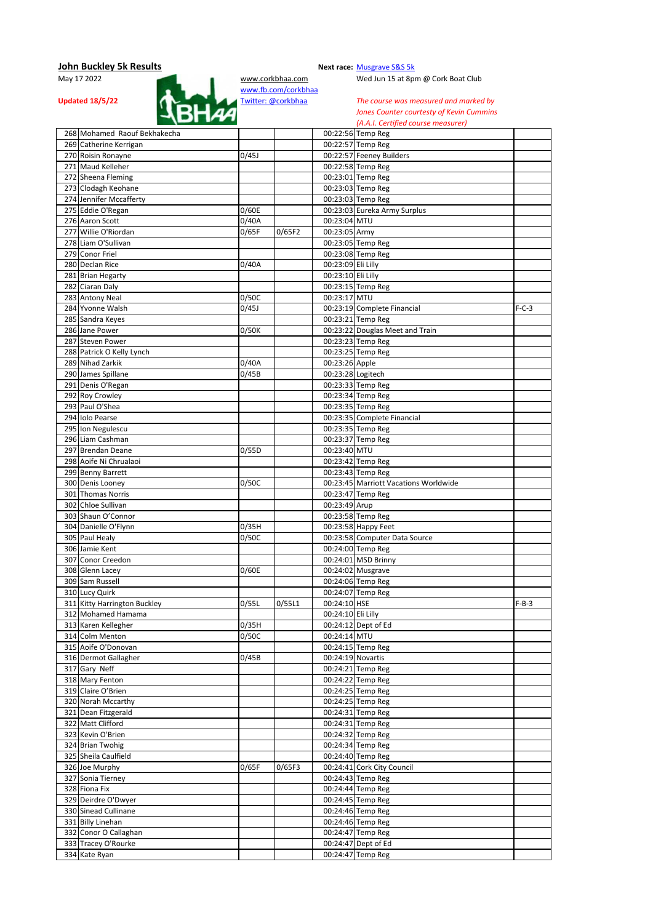

Wed Jun 15 at 8pm @ Cork Boat Club

| 268 Mohamed Raouf Bekhakecha                 |                    |        |                    | 00:22:56 Temp Reg                        |         |
|----------------------------------------------|--------------------|--------|--------------------|------------------------------------------|---------|
| 269 Catherine Kerrigan                       |                    |        |                    | 00:22:57 Temp Reg                        |         |
| 270 Roisin Ronayne                           | 0/45J              |        |                    | 00:22:57 Feeney Builders                 |         |
| 271 Maud Kelleher                            |                    |        |                    | 00:22:58 Temp Reg                        |         |
| 272 Sheena Fleming                           |                    |        |                    | 00:23:01 Temp Reg                        |         |
| 273 Clodagh Keohane                          |                    |        |                    | 00:23:03 Temp Reg                        |         |
| 274 Jennifer Mccafferty                      |                    |        |                    | 00:23:03 Temp Reg                        |         |
| 275 Eddie O'Regan                            | 0/60E              |        |                    | 00:23:03 Eureka Army Surplus             |         |
| 276 Aaron Scott                              | 0/40A              |        | 00:23:04 MTU       |                                          |         |
| 277 Willie O'Riordan                         | 0/65F              | 0/65F2 | 00:23:05 Army      |                                          |         |
| 278 Liam O'Sullivan                          |                    |        |                    | 00:23:05 Temp Reg                        |         |
| 279 Conor Friel                              |                    |        |                    | 00:23:08 Temp Reg                        |         |
| 280 Declan Rice                              | 0/40A              |        | 00:23:09 Eli Lilly |                                          |         |
| 281 Brian Hegarty                            |                    |        | 00:23:10 Eli Lilly |                                          |         |
|                                              |                    |        |                    | 00:23:15 Temp Reg                        |         |
| 282 Ciaran Daly                              |                    |        |                    |                                          |         |
| 283 Antony Neal                              | 0/50C              |        | 00:23:17 MTU       |                                          |         |
| 284 Yvonne Walsh                             | $\frac{1}{0}$ /45J |        |                    | 00:23:19 Complete Financial              | $F-C-3$ |
| 285 Sandra Keyes                             |                    |        |                    | 00:23:21 Temp Reg                        |         |
| 286 Jane Power                               | 0/50K              |        |                    | 00:23:22 Douglas Meet and Train          |         |
| 287 Steven Power                             |                    |        |                    | 00:23:23 Temp Reg                        |         |
| 288 Patrick O Kelly Lynch                    |                    |        |                    | 00:23:25 Temp Reg                        |         |
| 289 Nihad Zarkik                             | 0/40A              |        | 00:23:26 Apple     |                                          |         |
| 290 James Spillane                           | 0/45B              |        | 00:23:28 Logitech  |                                          |         |
| 291 Denis O'Regan                            |                    |        |                    | 00:23:33 Temp Reg                        |         |
| 292 Roy Crowley                              |                    |        |                    | 00:23:34 Temp Reg                        |         |
| 293 Paul O'Shea                              |                    |        |                    | 00:23:35 Temp Reg                        |         |
| 294 Iolo Pearse                              |                    |        |                    | 00:23:35 Complete Financial              |         |
| 295 Ion Negulescu                            |                    |        |                    | 00:23:35 Temp Reg                        |         |
| 296 Liam Cashman                             |                    |        |                    | 00:23:37 Temp Reg                        |         |
| 297 Brendan Deane                            | 0/55D              |        | 00:23:40 MTU       |                                          |         |
|                                              |                    |        |                    | 00:23:42 Temp Reg                        |         |
| 298 Aoife Ni Chrualaoi                       |                    |        |                    |                                          |         |
| 299 Benny Barrett                            |                    |        |                    | 00:23:43 Temp Reg                        |         |
| 300 Denis Looney                             | 0/50C              |        |                    | 00:23:45 Marriott Vacations Worldwide    |         |
| 301 Thomas Norris                            |                    |        |                    | 00:23:47 Temp Reg                        |         |
| 302 Chloe Sullivan                           |                    |        | 00:23:49 Arup      |                                          |         |
| 303 Shaun O'Connor                           |                    |        |                    | 00:23:58 Temp Reg                        |         |
| 304 Danielle O'Flynn                         | 0/35H              |        |                    | 00:23:58 Happy Feet                      |         |
| 305 Paul Healy                               | 0/50C              |        |                    | 00:23:58 Computer Data Source            |         |
| 306 Jamie Kent                               |                    |        |                    | 00:24:00 Temp Reg                        |         |
| 307 Conor Creedon                            |                    |        |                    | 00:24:01 MSD Brinny                      |         |
| 308 Glenn Lacey                              | 0/60E              |        |                    | 00:24:02 Musgrave                        |         |
| 309 Sam Russell                              |                    |        |                    | 00:24:06 Temp Reg                        |         |
| 310 Lucy Quirk                               |                    |        |                    | 00:24:07 Temp Reg                        |         |
| 311 Kitty Harrington Buckley                 | 0/55L              | 0/55L1 | 00:24:10 HSE       |                                          | $F-B-3$ |
| 312 Mohamed Hamama                           |                    |        | 00:24:10 Eli Lilly |                                          |         |
| 313 Karen Kellegher                          | 0/35H              |        |                    | 00:24:12 Dept of Ed                      |         |
| 314 Colm Menton                              | 0/50C              |        |                    |                                          |         |
|                                              |                    |        |                    |                                          |         |
|                                              |                    |        | 00:24:14 MTU       |                                          |         |
| 315 Aoife O'Donovan                          |                    |        |                    | 00:24:15 Temp Reg                        |         |
| 316 Dermot Gallagher                         | 0/45B              |        | 00:24:19 Novartis  |                                          |         |
| 317 Gary Neff                                |                    |        |                    | 00:24:21 Temp Reg                        |         |
| 318 Mary Fenton                              |                    |        |                    | 00:24:22 Temp Reg                        |         |
| 319 Claire O'Brien                           |                    |        |                    | 00:24:25 Temp Reg                        |         |
| 320 Norah Mccarthy                           |                    |        |                    | 00:24:25 Temp Reg                        |         |
| 321 Dean Fitzgerald                          |                    |        |                    | 00:24:31 Temp Reg                        |         |
| 322 Matt Clifford                            |                    |        |                    | 00:24:31 Temp Reg                        |         |
| 323 Kevin O'Brien                            |                    |        |                    | 00:24:32 Temp Reg                        |         |
| 324 Brian Twohig                             |                    |        |                    | 00:24:34 Temp Reg                        |         |
| 325 Sheila Caulfield                         |                    |        |                    | 00:24:40 Temp Reg                        |         |
| 326 Joe Murphy                               | 0/65F              | 0/65F3 |                    | 00:24:41 Cork City Council               |         |
| 327 Sonia Tierney                            |                    |        |                    | 00:24:43 Temp Reg                        |         |
| 328 Fiona Fix                                |                    |        |                    | 00:24:44 Temp Reg                        |         |
| 329 Deirdre O'Dwyer                          |                    |        |                    | 00:24:45 Temp Reg                        |         |
| 330 Sinead Cullinane                         |                    |        |                    | 00:24:46 Temp Reg                        |         |
| 331 Billy Linehan                            |                    |        |                    |                                          |         |
|                                              |                    |        |                    | 00:24:46 Temp Reg                        |         |
| 332 Conor O Callaghan<br>333 Tracey O'Rourke |                    |        |                    | 00:24:47 Temp Reg<br>00:24:47 Dept of Ed |         |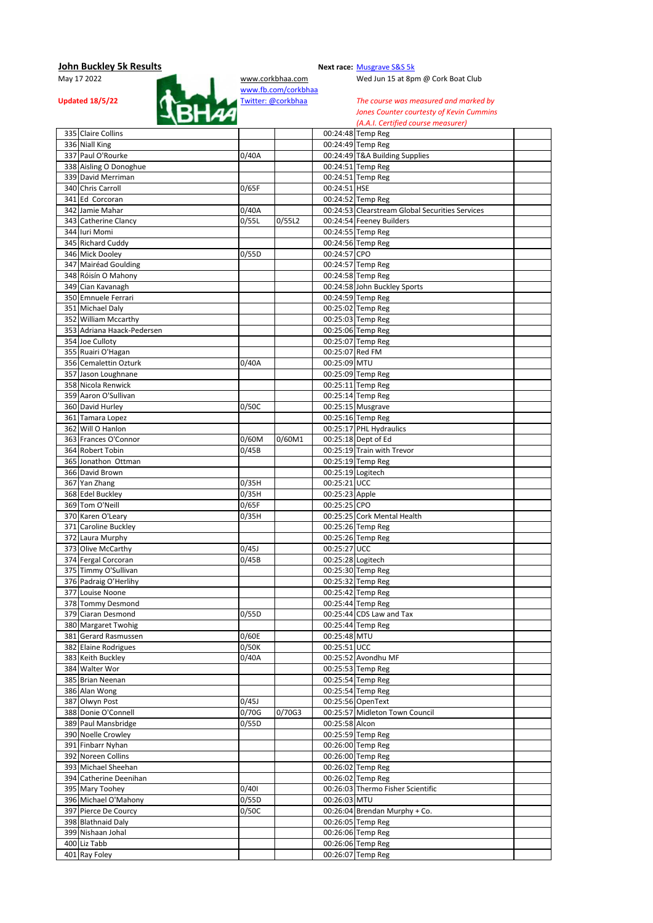

Wed Jun 15 at 8pm @ Cork Boat Club

**Updated 18/5/22 Twitter:** @corkbhaa *The course was measured and marked by Jones Counter courtesty of Kevin Cummins Jones Counter courtesty of Kevin Cummins (A.A.I. Certified course measurer)*

| 335 Claire Collins                           |                |        |                              | 00:24:48 Temp Reg                                 |  |
|----------------------------------------------|----------------|--------|------------------------------|---------------------------------------------------|--|
| 336 Niall King                               |                |        |                              | 00:24:49 Temp Reg                                 |  |
| 337 Paul O'Rourke                            | 0/40A          |        |                              | 00:24:49 T&A Building Supplies                    |  |
| 338 Aisling O Donoghue                       |                |        |                              | 00:24:51 Temp Reg                                 |  |
| 339 David Merriman                           |                |        |                              | 00:24:51 Temp Reg                                 |  |
| 340 Chris Carroll                            | 0/65F          |        | 00:24:51 HSE                 |                                                   |  |
| 341 Ed Corcoran                              |                |        |                              | 00:24:52 Temp Reg                                 |  |
| 342 Jamie Mahar                              | 0/40A          |        |                              | 00:24:53 Clearstream Global Securities Services   |  |
| 343 Catherine Clancy                         | 0/55L          | 0/55L2 |                              | 00:24:54 Feeney Builders                          |  |
| 344 Iuri Momi                                |                |        |                              | 00:24:55 Temp Reg                                 |  |
| 345 Richard Cuddy                            |                |        |                              | 00:24:56 Temp Reg                                 |  |
|                                              |                |        |                              |                                                   |  |
| 346 Mick Dooley                              | 0/55D          |        | 00:24:57 CPO                 |                                                   |  |
| 347 Mairéad Goulding                         |                |        |                              | 00:24:57 Temp Reg                                 |  |
| 348 Róisín O Mahony                          |                |        |                              | 00:24:58 Temp Reg<br>00:24:58 John Buckley Sports |  |
| 349 Cian Kavanagh                            |                |        |                              |                                                   |  |
| 350 Emnuele Ferrari                          |                |        |                              | 00:24:59 Temp Reg                                 |  |
| 351 Michael Daly                             |                |        |                              | 00:25:02 Temp Reg                                 |  |
| 352 William Mccarthy                         |                |        |                              | 00:25:03 Temp Reg                                 |  |
| 353 Adriana Haack-Pedersen                   |                |        |                              | 00:25:06 Temp Reg                                 |  |
| 354 Joe Culloty                              |                |        |                              | 00:25:07 Temp Reg                                 |  |
| 355 Ruairi O'Hagan                           |                |        | 00:25:07 Red FM              |                                                   |  |
| 356 Cemalettin Ozturk                        | 0/40A          |        | 00:25:09 MTU                 |                                                   |  |
| 357 Jason Loughnane                          |                |        |                              | 00:25:09 Temp Reg                                 |  |
| 358 Nicola Renwick                           |                |        |                              | 00:25:11 Temp Reg                                 |  |
| 359 Aaron O'Sullivan                         |                |        |                              | 00:25:14 Temp Reg                                 |  |
| 360 David Hurley                             | 0/50C          |        |                              | 00:25:15 Musgrave                                 |  |
| 361 Tamara Lopez                             |                |        |                              | 00:25:16 Temp Reg                                 |  |
| 362 Will O Hanlon                            |                |        |                              | 00:25:17 PHL Hydraulics                           |  |
| 363 Frances O'Connor                         | 0/60M          | 0/60M1 |                              | 00:25:18 Dept of Ed                               |  |
| 364 Robert Tobin                             | 0/45B          |        |                              | 00:25:19 Train with Trevor                        |  |
| 365 Jonathon Ottman                          |                |        |                              | 00:25:19 Temp Reg                                 |  |
| 366 David Brown                              |                |        | 00:25:19 Logitech            |                                                   |  |
| 367 Yan Zhang                                | 0/35H          |        | 00:25:21 UCC                 |                                                   |  |
| 368 Edel Buckley                             | 0/35H          |        | 00:25:23 Apple               |                                                   |  |
| 369 Tom O'Neill                              | 0/65F          |        | 00:25:25 CPO                 |                                                   |  |
| 370 Karen O'Leary                            | 0/35H          |        |                              | 00:25:25 Cork Mental Health                       |  |
| 371 Caroline Buckley                         |                |        |                              | 00:25:26 Temp Reg                                 |  |
| 372 Laura Murphy<br>373 Olive McCarthy       | 0/45J          |        | 00:25:27 UCC                 | 00:25:26 Temp Reg                                 |  |
| 374 Fergal Corcoran                          | 0/45B          |        | 00:25:28 Logitech            |                                                   |  |
| 375 Timmy O'Sullivan                         |                |        |                              | 00:25:30 Temp Reg                                 |  |
| 376 Padraig O'Herlihy                        |                |        |                              | 00:25:32 Temp Reg                                 |  |
| 377 Louise Noone                             |                |        |                              | 00:25:42 Temp Reg                                 |  |
| 378 Tommy Desmond                            |                |        |                              | 00:25:44 Temp Reg                                 |  |
| 379 Ciaran Desmond                           | 0/55D          |        |                              | 00:25:44 CDS Law and Tax                          |  |
| 380 Margaret Twohig                          |                |        |                              | 00:25:44 Temp Reg                                 |  |
|                                              |                |        |                              |                                                   |  |
| 381 Gerard Rasmussen<br>382 Elaine Rodrigues | 0/60E<br>0/50K |        | 00:25:48 MTU<br>00:25:51 UCC |                                                   |  |
| 383 Keith Buckley                            | 0/40A          |        |                              | 00:25:52 Avondhu MF                               |  |
| 384 Walter Wor                               |                |        |                              | 00:25:53 Temp Reg                                 |  |
| 385 Brian Neenan                             |                |        |                              | 00:25:54 Temp Reg                                 |  |
| 386 Alan Wong                                |                |        |                              | 00:25:54 Temp Reg                                 |  |
| 387 Olwyn Post                               | 0/45J          |        |                              | 00:25:56 OpenText                                 |  |
| 388 Donie O'Connell                          | 0/70G          | 0/70G3 |                              | 00:25:57 Midleton Town Council                    |  |
| 389 Paul Mansbridge                          | 0/55D          |        | 00:25:58 Alcon               |                                                   |  |
| 390 Noelle Crowley                           |                |        |                              | 00:25:59 Temp Reg                                 |  |
| 391 Finbarr Nyhan                            |                |        |                              | 00:26:00 Temp Reg                                 |  |
| 392 Noreen Collins                           |                |        |                              | 00:26:00 Temp Reg                                 |  |
| 393 Michael Sheehan                          |                |        |                              | 00:26:02 Temp Reg                                 |  |
| 394 Catherine Deenihan                       |                |        |                              | 00:26:02 Temp Reg                                 |  |
| 395 Mary Toohey                              | 0/401          |        |                              | 00:26:03 Thermo Fisher Scientific                 |  |
| 396 Michael O'Mahony                         | 0/55D          |        | 00:26:03 MTU                 |                                                   |  |
| 397 Pierce De Courcy                         | 0/50C          |        |                              | 00:26:04 Brendan Murphy + Co.                     |  |
| 398 Blathnaid Daly                           |                |        |                              | 00:26:05 Temp Reg                                 |  |
| 399 Nishaan Johal                            |                |        |                              | 00:26:06 Temp Reg                                 |  |
| 400 Liz Tabb                                 |                |        |                              | 00:26:06 Temp Reg                                 |  |
| 401 Ray Foley                                |                |        |                              | 00:26:07 Temp Reg                                 |  |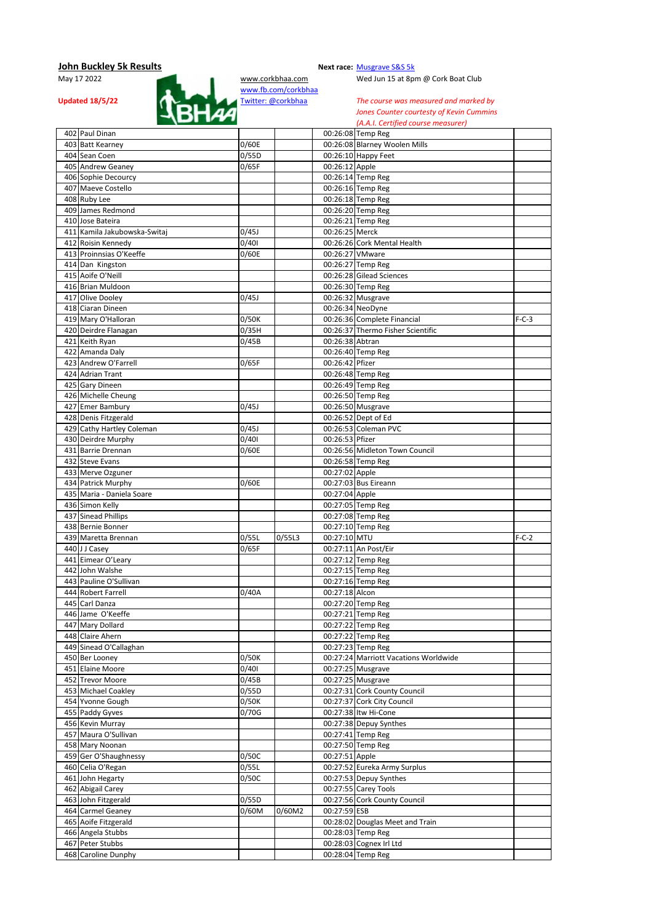

Wed Jun 15 at 8pm @ Cork Boat Club

Updated 18/5/22 **Twitter:** @corkbhaa *The course was measured and marked by* **The course was measured and marked by** *Jones Counter courtesty of Kevin Cummins (A.A.I. Certified course measurer)*

| 402 Paul Dinan                          |       |        |                 | 00:26:08 Temp Reg                            |         |
|-----------------------------------------|-------|--------|-----------------|----------------------------------------------|---------|
| 403 Batt Kearney                        | 0/60E |        |                 | 00:26:08 Blarney Woolen Mills                |         |
|                                         |       |        |                 |                                              |         |
| 404 Sean Coen                           | 0/55D |        |                 | 00:26:10 Happy Feet                          |         |
| 405 Andrew Geaney                       | 0/65F |        | 00:26:12 Apple  |                                              |         |
| 406 Sophie Decourcy                     |       |        |                 | 00:26:14 Temp Reg                            |         |
| 407 Maeve Costello                      |       |        |                 | 00:26:16 Temp Reg                            |         |
| 408 Ruby Lee                            |       |        |                 | 00:26:18 Temp Reg                            |         |
| 409 James Redmond                       |       |        |                 | 00:26:20 Temp Reg                            |         |
| 410 Jose Bateira                        |       |        |                 | 00:26:21 Temp Reg                            |         |
| 411 Kamila Jakubowska-Switaj            | 0/45J |        | 00:26:25 Merck  |                                              |         |
|                                         |       |        |                 |                                              |         |
| 412 Roisin Kennedy                      | 0/401 |        |                 | 00:26:26 Cork Mental Health                  |         |
| 413 Proinnsias O'Keeffe                 | 0/60E |        | 00:26:27 VMware |                                              |         |
| 414 Dan Kingston                        |       |        |                 | 00:26:27 Temp Reg                            |         |
| 415 Aoife O'Neill                       |       |        |                 | 00:26:28 Gilead Sciences                     |         |
| 416 Brian Muldoon                       |       |        |                 | 00:26:30 Temp Reg                            |         |
| 417 Olive Dooley                        | 0/45J |        |                 | 00:26:32 Musgrave                            |         |
| 418 Ciaran Dineen                       |       |        |                 | 00:26:34 NeoDyne                             |         |
|                                         |       |        |                 |                                              |         |
| 419 Mary O'Halloran                     | 0/50K |        |                 | 00:26:36 Complete Financial                  | $F-C-3$ |
| 420 Deirdre Flanagan                    | 0/35H |        |                 | 00:26:37 Thermo Fisher Scientific            |         |
| 421 Keith Ryan                          | 0/45B |        | 00:26:38 Abtran |                                              |         |
| 422 Amanda Daly                         |       |        |                 | 00:26:40 Temp Reg                            |         |
| 423 Andrew O'Farrell                    | 0/65F |        | 00:26:42 Pfizer |                                              |         |
| 424 Adrian Trant                        |       |        |                 | 00:26:48 Temp Reg                            |         |
| 425 Gary Dineen                         |       |        |                 | 00:26:49 Temp Reg                            |         |
|                                         |       |        |                 |                                              |         |
| 426 Michelle Cheung                     |       |        |                 | 00:26:50 Temp Reg                            |         |
| 427 Emer Bambury                        | 0/45J |        |                 | 00:26:50 Musgrave                            |         |
| 428 Denis Fitzgerald                    |       |        |                 | 00:26:52 Dept of Ed                          |         |
| 429 Cathy Hartley Coleman               | 0/45J |        |                 | 00:26:53 Coleman PVC                         |         |
| 430 Deirdre Murphy                      | 0/401 |        | 00:26:53 Pfizer |                                              |         |
| 431 Barrie Drennan                      | 0/60E |        |                 | 00:26:56 Midleton Town Council               |         |
| 432 Steve Evans                         |       |        |                 | 00:26:58 Temp Reg                            |         |
|                                         |       |        |                 |                                              |         |
| 433 Merve Ozguner                       |       |        | 00:27:02 Apple  |                                              |         |
| 434 Patrick Murphy                      | 0/60E |        |                 | 00:27:03 Bus Eireann                         |         |
| 435 Maria - Daniela Soare               |       |        | 00:27:04 Apple  |                                              |         |
| 436 Simon Kelly                         |       |        |                 | 00:27:05 Temp Reg                            |         |
| 437 Sinead Phillips                     |       |        |                 | 00:27:08 Temp Reg                            |         |
| 438 Bernie Bonner                       |       |        |                 | 00:27:10 Temp Reg                            |         |
| 439 Maretta Brennan                     | 0/55L | 0/55L3 | 00:27:10 MTU    |                                              | $F-C-2$ |
|                                         | 0/65F |        |                 |                                              |         |
| 440 J J Casey                           |       |        |                 | 00:27:11 An Post/Eir                         |         |
| 441 Eimear O'Leary                      |       |        |                 | 00:27:12 Temp Reg                            |         |
| 442 John Walshe                         |       |        |                 | 00:27:15 Temp Reg                            |         |
| 443 Pauline O'Sullivan                  |       |        |                 | 00:27:16 Temp Reg                            |         |
| 444 Robert Farrell                      | 0/40A |        | 00:27:18 Alcon  |                                              |         |
| 445 Carl Danza                          |       |        |                 | 00:27:20 Temp Reg                            |         |
| 446 Jame O'Keeffe                       |       |        |                 | 00:27:21 Temp Reg                            |         |
|                                         |       |        |                 |                                              |         |
| 447 Mary Dollard                        |       |        |                 | 00:27:22 Temp Reg                            |         |
| 448 Claire Ahern                        |       |        |                 | 00:27:22 Temp Reg                            |         |
| 449 Sinead O'Callaghan                  |       |        |                 | 00:27:23 Temp Reg                            |         |
| 450 Ber Looney                          | 0/50K |        |                 | 00:27:24 Marriott Vacations Worldwide        |         |
| 451 Elaine Moore                        | 0/401 |        |                 | 00:27:25 Musgrave                            |         |
| 452 Trevor Moore                        | 0/45B |        |                 | 00:27:25 Musgrave                            |         |
| 453 Michael Coakley                     | 0/55D |        |                 | 00:27:31 Cork County Council                 |         |
|                                         |       |        |                 |                                              |         |
| 454 Yvonne Gough                        | 0/50K |        |                 | 00:27:37 Cork City Council                   |         |
| 455 Paddy Gyves                         | 0/70G |        |                 | 00:27:38 Itw Hi-Cone                         |         |
| 456 Kevin Murray                        |       |        |                 | 00:27:38 Depuy Synthes                       |         |
| 457 Maura O'Sullivan                    |       |        |                 | 00:27:41 Temp Reg                            |         |
| 458 Mary Noonan                         |       |        |                 | 00:27:50 Temp Reg                            |         |
|                                         | 0/50C |        | 00:27:51 Apple  |                                              |         |
|                                         |       |        |                 |                                              |         |
| 459 Ger O'Shaughnessy                   |       |        |                 |                                              |         |
| 460 Celia O'Regan                       | 0/55L |        |                 | 00:27:52 Eureka Army Surplus                 |         |
| 461 John Hegarty                        | 0/50C |        |                 | 00:27:53 Depuy Synthes                       |         |
| 462 Abigail Carey                       |       |        |                 | 00:27:55 Carey Tools                         |         |
| 463 John Fitzgerald                     | 0/55D |        |                 | 00:27:56 Cork County Council                 |         |
| 464 Carmel Geaney                       | 0/60M | 0/60M2 | 00:27:59 ESB    |                                              |         |
| 465 Aoife Fitzgerald                    |       |        |                 | 00:28:02 Douglas Meet and Train              |         |
| 466 Angela Stubbs                       |       |        |                 | 00:28:03 Temp Reg                            |         |
|                                         |       |        |                 |                                              |         |
| 467 Peter Stubbs<br>468 Caroline Dunphy |       |        |                 | 00:28:03 Cognex Irl Ltd<br>00:28:04 Temp Reg |         |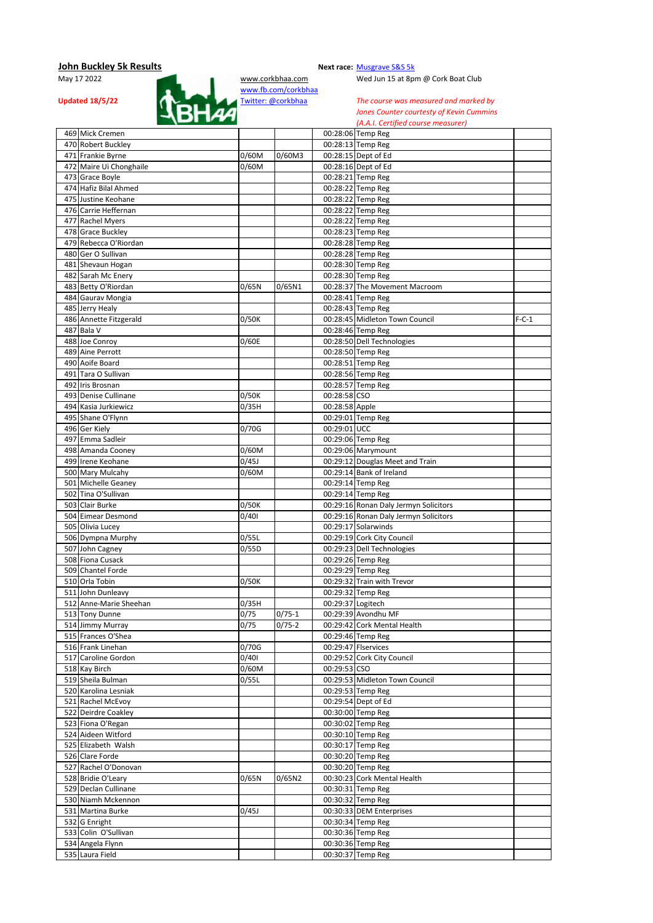

Wed Jun 15 at 8pm @ Cork Boat Club

| 469 Mick Cremen                     |                    |            |                   | 00:28:06 Temp Reg                      |         |
|-------------------------------------|--------------------|------------|-------------------|----------------------------------------|---------|
| 470 Robert Buckley                  |                    |            |                   | 00:28:13 Temp Reg                      |         |
| 471 Frankie Byrne                   | 0/60M              | 0/60M3     |                   | 00:28:15 Dept of Ed                    |         |
| 472 Maire Ui Chonghaile             | 0/60M              |            |                   | 00:28:16 Dept of Ed                    |         |
| 473 Grace Boyle                     |                    |            |                   | 00:28:21 Temp Reg                      |         |
| 474 Hafiz Bilal Ahmed               |                    |            |                   | 00:28:22 Temp Reg                      |         |
| 475 Justine Keohane                 |                    |            |                   | 00:28:22 Temp Reg                      |         |
| 476 Carrie Heffernan                |                    |            |                   | 00:28:22 Temp Reg                      |         |
| 477 Rachel Myers                    |                    |            |                   | 00:28:22 Temp Reg                      |         |
| 478 Grace Buckley                   |                    |            |                   | 00:28:23 Temp Reg                      |         |
| 479 Rebecca O'Riordan               |                    |            |                   | 00:28:28 Temp Reg                      |         |
| 480 Ger O Sullivan                  |                    |            |                   | 00:28:28 Temp Reg                      |         |
| 481 Shevaun Hogan                   |                    |            |                   | 00:28:30 Temp Reg                      |         |
| 482 Sarah Mc Enery                  |                    |            |                   | 00:28:30 Temp Reg                      |         |
| 483 Betty O'Riordan                 | 0/65N              | 0/65N1     |                   | 00:28:37 The Movement Macroom          |         |
| 484 Gaurav Mongia                   |                    |            |                   | 00:28:41 Temp Reg                      |         |
|                                     |                    |            |                   |                                        |         |
| 485 Jerry Healy                     |                    |            |                   | 00:28:43 Temp Reg                      |         |
| 486 Annette Fitzgerald              | 0/50K              |            |                   | 00:28:45 Midleton Town Council         | $F-C-1$ |
| 487 Bala V                          |                    |            |                   | 00:28:46 Temp Reg                      |         |
| 488 Joe Conroy                      | 0/60E              |            |                   | 00:28:50 Dell Technologies             |         |
| 489 Aine Perrott                    |                    |            |                   | 00:28:50 Temp Reg                      |         |
| 490 Aoife Board                     |                    |            |                   | 00:28:51 Temp Reg                      |         |
| 491 Tara O Sullivan                 |                    |            |                   | 00:28:56 Temp Reg                      |         |
| 492 Iris Brosnan                    |                    |            |                   | 00:28:57 Temp Reg                      |         |
| 493 Denise Cullinane                | 0/50K              |            | 00:28:58 CSO      |                                        |         |
| 494 Kasia Jurkiewicz                | 0/35H              |            | 00:28:58 Apple    |                                        |         |
| 495 Shane O'Flynn                   |                    |            |                   | 00:29:01 Temp Reg                      |         |
| 496 Ger Kiely                       | 0/70G              |            | 00:29:01 UCC      |                                        |         |
| 497 Emma Sadleir                    |                    |            |                   | 00:29:06 Temp Reg                      |         |
| 498 Amanda Cooney                   | 0/60M              |            |                   | 00:29:06 Marymount                     |         |
| 499 Irene Keohane                   | 0/45J              |            |                   | 00:29:12 Douglas Meet and Train        |         |
| 500 Mary Mulcahy                    | 0/60M              |            |                   | 00:29:14 Bank of Ireland               |         |
| 501 Michelle Geaney                 |                    |            |                   | 00:29:14 Temp Reg                      |         |
| 502 Tina O'Sullivan                 |                    |            |                   | 00:29:14 Temp Reg                      |         |
| 503 Clair Burke                     | $\overline{0}/50K$ |            |                   | 00:29:16 Ronan Daly Jermyn Solicitors  |         |
| 504 Eimear Desmond                  | 0/401              |            |                   | 00:29:16 Ronan Daly Jermyn Solicitors  |         |
|                                     |                    |            |                   | 00:29:17 Solarwinds                    |         |
| 505 Olivia Lucey                    |                    |            |                   |                                        |         |
| 506 Dympna Murphy                   | 0/55L              |            |                   | 00:29:19 Cork City Council             |         |
| 507 John Cagney                     | 0/55D              |            |                   | 00:29:23 Dell Technologies             |         |
| 508 Fiona Cusack                    |                    |            |                   | 00:29:26 Temp Reg                      |         |
| 509 Chantel Forde                   |                    |            |                   | 00:29:29 Temp Reg                      |         |
| 510 Orla Tobin                      | 0/50K              |            |                   | 00:29:32 Train with Trevor             |         |
| 511 John Dunleavy                   |                    |            |                   | 00:29:32 Temp Reg                      |         |
| 512 Anne-Marie Sheehan              | 0/35H              |            | 00:29:37 Logitech |                                        |         |
| 513 Tony Dunne                      | 0/75               | $0/75-1$   |                   | 00:29:39 Avondhu MF                    |         |
| 514 Jimmy Murray                    | 0/75               | $0/75 - 2$ |                   | 00:29:42 Cork Mental Health            |         |
| 515 Frances O'Shea                  |                    |            |                   | 00:29:46 Temp Reg                      |         |
| 516 Frank Linehan                   | 0/70G              |            |                   | 00:29:47 Flservices                    |         |
| 517 Caroline Gordon                 | 0/401              |            |                   | 00:29:52 Cork City Council             |         |
| 518 Kay Birch                       | 0/60M              |            | 00:29:53 CSO      |                                        |         |
|                                     |                    |            |                   |                                        |         |
| 519 Sheila Bulman                   | 0/55L              |            |                   | 00:29:53 Midleton Town Council         |         |
| 520 Karolina Lesniak                |                    |            |                   |                                        |         |
|                                     |                    |            |                   | 00:29:53 Temp Reg                      |         |
| 521 Rachel McEvoy                   |                    |            |                   | 00:29:54 Dept of Ed                    |         |
| 522 Deirdre Coakley                 |                    |            |                   | 00:30:00 Temp Reg                      |         |
| 523 Fiona O'Regan                   |                    |            |                   | 00:30:02 Temp Reg                      |         |
| 524 Aideen Witford                  |                    |            |                   | 00:30:10 Temp Reg                      |         |
| 525 Elizabeth Walsh                 |                    |            |                   | 00:30:17 Temp Reg                      |         |
| 526 Clare Forde                     |                    |            |                   | 00:30:20 Temp Reg                      |         |
| 527 Rachel O'Donovan                |                    |            |                   | 00:30:20 Temp Reg                      |         |
| 528 Bridie O'Leary                  | 0/65N              | 0/65N2     |                   | 00:30:23 Cork Mental Health            |         |
| 529 Declan Cullinane                |                    |            |                   | 00:30:31 Temp Reg                      |         |
| 530 Niamh Mckennon                  |                    |            |                   | 00:30:32 Temp Reg                      |         |
| 531 Martina Burke                   | 0/45J              |            |                   | 00:30:33 DEM Enterprises               |         |
| 532 G Enright                       |                    |            |                   | 00:30:34 Temp Reg                      |         |
| 533 Colin O'Sullivan                |                    |            |                   | 00:30:36 Temp Reg                      |         |
| 534 Angela Flynn<br>535 Laura Field |                    |            |                   | 00:30:36 Temp Reg<br>00:30:37 Temp Reg |         |